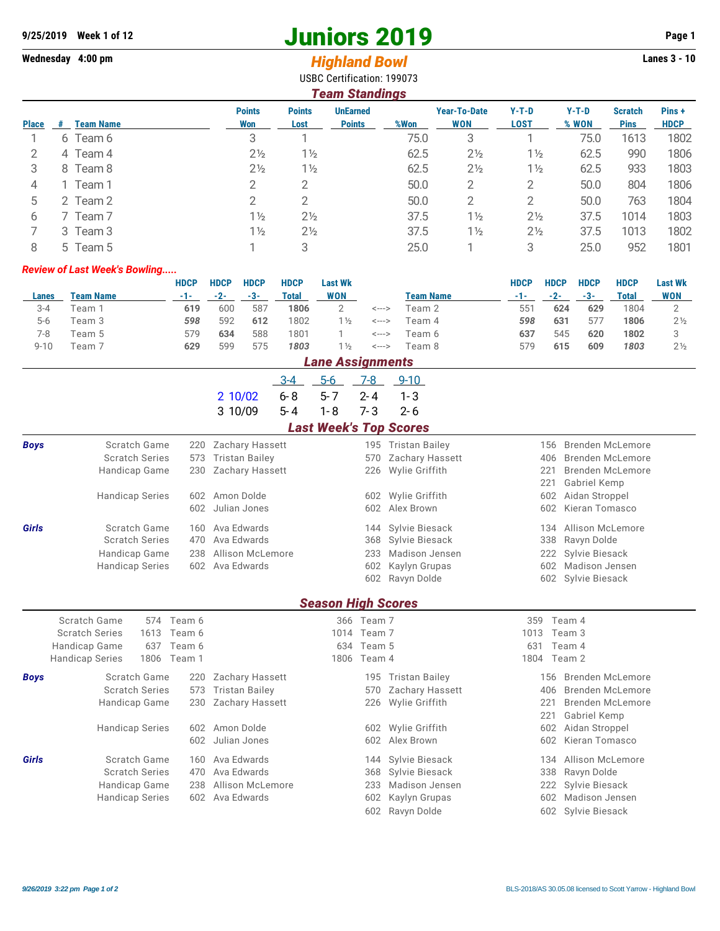## **9/25/2019 Week 1 of 12 Juniors 2019 Page 1**

## Wednesday 4:00 pm<br> **Highland Bowl**

USBC Certification: 199073

| Team Standings |   |                  |                      |                       |                                  |      |                                   |                        |                  |                               |                      |  |
|----------------|---|------------------|----------------------|-----------------------|----------------------------------|------|-----------------------------------|------------------------|------------------|-------------------------------|----------------------|--|
| <b>Place</b>   | # | <b>Team Name</b> | <b>Points</b><br>Won | <b>Points</b><br>Lost | <b>UnEarned</b><br><b>Points</b> | %Won | <b>Year-To-Date</b><br><b>WON</b> | $Y-T-D$<br><b>LOST</b> | $Y-T-D$<br>% WON | <b>Scratch</b><br><b>Pins</b> | Pins+<br><b>HDCP</b> |  |
|                | 6 | Team 6           | 3                    |                       |                                  | 75.0 | 3                                 |                        | 75.0             | 1613                          | 1802                 |  |
| 2              |   | 4 Team 4         | $2\frac{1}{2}$       | $1\frac{1}{2}$        |                                  | 62.5 | $2\frac{1}{2}$                    | $1\frac{1}{2}$         | 62.5             | 990                           | 1806                 |  |
| 3              |   | 8 Team 8         | $2\frac{1}{2}$       | $1\frac{1}{2}$        |                                  | 62.5 | $2\frac{1}{2}$                    | $1\frac{1}{2}$         | 62.5             | 933                           | 1803                 |  |
| 4              |   | 1 Team 1         |                      | 2                     |                                  | 50.0 | 2                                 | 2                      | 50.0             | 804                           | 1806                 |  |
| 5              |   | 2 Team 2         |                      | 2                     |                                  | 50.0 | 2                                 | 2                      | 50.0             | 763                           | 1804                 |  |
| 6              |   | Team 7           | $1\frac{1}{2}$       | $2\frac{1}{2}$        |                                  | 37.5 | $1\frac{1}{2}$                    | $2\frac{1}{2}$         | 37.5             | 1014                          | 1803                 |  |
|                |   | 3 Team 3         | $1\frac{1}{2}$       | $2\frac{1}{2}$        |                                  | 37.5 | $1\frac{1}{2}$                    | $2\frac{1}{2}$         | 37.5             | 1013                          | 1802                 |  |
| 8              |   | 5 Team 5         |                      | 3                     |                                  | 25.0 |                                   | 3                      | 25.0             | 952                           | 1801                 |  |

## *Review of Last Week's Bowling.....*

|          |                  | HDCP | <b>HDCP</b> | <b>HDCP</b> | <b>HDCP</b> | <b>Last Wk</b> |       |                  | HDCP | <b>HDCP</b> | <b>HDCP</b> | <b>HDCP</b> | <b>Last Wk</b> |
|----------|------------------|------|-------------|-------------|-------------|----------------|-------|------------------|------|-------------|-------------|-------------|----------------|
| Lanes    | <b>Team Name</b> | -1-  | $-2-$       | -3-         | Total       | WON            |       | <b>Team Name</b> | -1-  | $-2-$       | -3-         | Total       | <b>WON</b>     |
| $3 - 4$  | Team 1           | 619  | 600         | 587         | 1806        |                | <---> | Team 2           | 551  | 624         | 629         | 1804        |                |
| $5-6$    | Геат 3           | 598  | 592         | 612         | 1802        | $\frac{1}{2}$  | <---> | Геаm 4           | 598  | 631         | 577         | 1806        | $2\frac{1}{2}$ |
| 7-8      | Team 5           | 579  | 634         | 588         | 1801        |                | <---> | Геат 6           | 637  | 545         | 620         | 1802        |                |
| $9 - 10$ | Гeam 7           | 629  | 599         | 575         | 1803        | $\frac{1}{2}$  | <---> | Геат 8           | 579  | 615         | 609         | 1803        | 2 <sub>2</sub> |

| <b>Lane Assignments</b> |                                               |                                |                       |             |                               |                |                       |                                 |                         |  |  |  |
|-------------------------|-----------------------------------------------|--------------------------------|-----------------------|-------------|-------------------------------|----------------|-----------------------|---------------------------------|-------------------------|--|--|--|
|                         |                                               |                                |                       | $3 - 4$     | $5-6$                         | $7-8$          | $9 - 10$              |                                 |                         |  |  |  |
|                         |                                               |                                | 2 10/02               | $6 - 8$     | $5 - 7$                       | $2 - 4$        | $1 - 3$               |                                 |                         |  |  |  |
|                         |                                               |                                | 3 10/09               | $5 - 4$     | $1 - 8$                       | $7 - 3$        | $2 - 6$               |                                 |                         |  |  |  |
|                         |                                               |                                |                       |             | <b>Last Week's Top Scores</b> |                |                       |                                 |                         |  |  |  |
| <b>Boys</b>             | Scratch Game                                  | 220                            | Zachary Hassett       |             |                               |                | 195 Tristan Bailey    | 156                             | Brenden McLemore        |  |  |  |
|                         | <b>Scratch Series</b>                         | 573                            | <b>Tristan Bailey</b> |             |                               | 570            | Zachary Hassett       | 406                             | Brenden McLemore        |  |  |  |
|                         | Handicap Game                                 | 230                            | Zachary Hassett       |             | 226                           | Wylie Griffith | 221                   | <b>Brenden McLemore</b>         |                         |  |  |  |
|                         |                                               |                                |                       |             |                               |                |                       | 221<br>Gabriel Kemp             |                         |  |  |  |
|                         | <b>Handicap Series</b>                        | 602                            | Amon Dolde            |             | 602                           | Wylie Griffith | 602                   | Aidan Stroppel                  |                         |  |  |  |
|                         |                                               | 602                            | Julian Jones          |             | 602                           | Alex Brown     | 602<br>Kieran Tomasco |                                 |                         |  |  |  |
| <b>Girls</b>            | Scratch Game                                  | 160                            | Ava Edwards           |             |                               | 144            | Sylvie Biesack        | 134                             | Allison McLemore        |  |  |  |
|                         | <b>Scratch Series</b>                         | 470                            | Ava Edwards           |             | 368                           | Sylvie Biesack | 338                   | Ravyn Dolde                     |                         |  |  |  |
|                         | Handicap Game                                 | 238                            | Allison McLemore      |             |                               | 233            | Madison Jensen        | 222                             | Sylvie Biesack          |  |  |  |
|                         | <b>Handicap Series</b>                        | 602 Ava Edwards                |                       |             | 602                           | Kaylyn Grupas  |                       | 602 Madison Jensen              |                         |  |  |  |
|                         |                                               |                                |                       |             |                               |                | 602 Ravyn Dolde       |                                 | 602 Sylvie Biesack      |  |  |  |
|                         |                                               |                                |                       |             | <b>Season High Scores</b>     |                |                       |                                 |                         |  |  |  |
|                         |                                               |                                |                       |             |                               |                |                       |                                 |                         |  |  |  |
|                         | Scratch Game<br><b>Scratch Series</b><br>1613 | 574 Team 6<br>Team 6           |                       |             |                               | 366 Team 7     |                       | 359                             | Team 4                  |  |  |  |
|                         |                                               |                                |                       |             | 1014 Team 7<br>634 Team 5     |                |                       | 1013<br>Team 3<br>631<br>Team 4 |                         |  |  |  |
|                         | 1806                                          | Handicap Game<br>637<br>Team 6 |                       | 1806 Team 4 |                               |                |                       |                                 | 1804 Team 2             |  |  |  |
|                         | <b>Handicap Series</b>                        | Team 1                         |                       |             |                               |                |                       |                                 |                         |  |  |  |
| <b>Boys</b>             | Scratch Game                                  | 220                            | Zachary Hassett       |             |                               | 195            | <b>Tristan Bailey</b> | 156                             | Brenden McLemore        |  |  |  |
|                         | <b>Scratch Series</b><br>573                  |                                | <b>Tristan Bailey</b> |             |                               | 570            | Zachary Hassett       | 406                             | <b>Brenden McLemore</b> |  |  |  |
|                         |                                               | Handicap Game<br>230           |                       |             |                               | 226            | Wylie Griffith        | 221<br><b>Brenden McLemore</b>  |                         |  |  |  |
|                         |                                               |                                |                       |             |                               | 221            | Gabriel Kemp          |                                 |                         |  |  |  |
|                         |                                               | <b>Handicap Series</b><br>602  |                       |             |                               | 602            | Wylie Griffith        | 602                             | Aidan Stroppel          |  |  |  |
|                         |                                               | Julian Jones                   |                       |             | 602                           | Alex Brown     | 602                   | Kieran Tomasco                  |                         |  |  |  |
| Girls                   | Scratch Game                                  | 160                            | Ava Edwards           |             |                               | 144            | Sylvie Biesack        | 134                             | Allison McLemore        |  |  |  |
|                         | <b>Scratch Series</b>                         | 470                            | Ava Edwards           |             |                               | 368            | Sylvie Biesack        | 338                             | Ravyn Dolde             |  |  |  |
|                         | Handicap Game                                 | 238                            | Allison McLemore      |             |                               | 233            | Madison Jensen        | 222                             | Sylvie Biesack          |  |  |  |
|                         | <b>Handicap Series</b>                        | 602                            | Ava Edwards           |             |                               | 602            | Kaylyn Grupas         | Madison Jensen<br>602           |                         |  |  |  |
|                         |                                               |                                |                       |             |                               | 602            | Ravyn Dolde           | 602                             | Sylvie Biesack          |  |  |  |